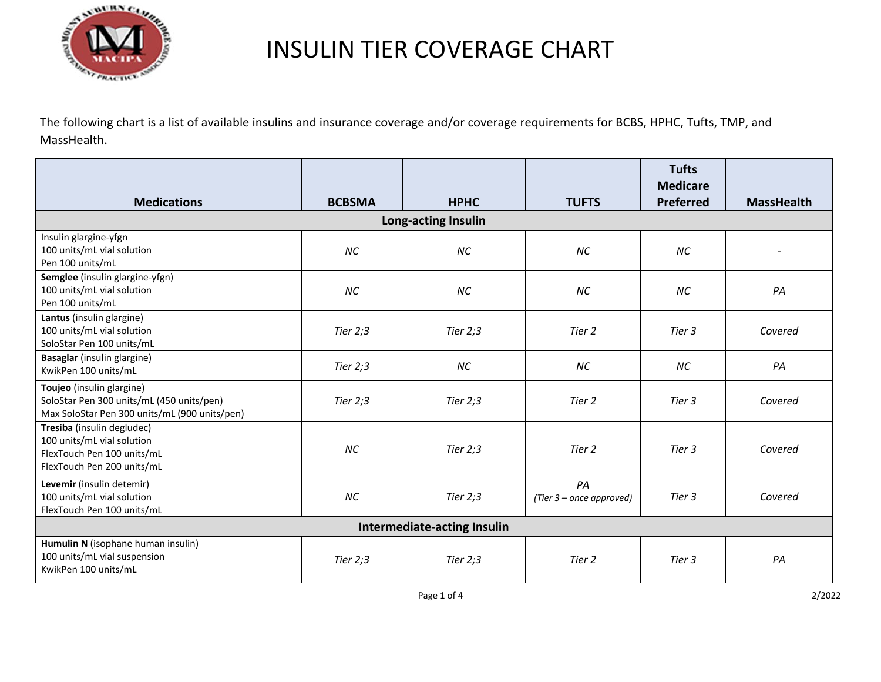

The following chart is a list of available insulins and insurance coverage and/or coverage requirements for BCBS, HPHC, Tufts, TMP, and MassHealth.

| <b>Medications</b>                                                                                                      | <b>BCBSMA</b> | <b>HPHC</b> | <b>TUFTS</b>                   | <b>Tufts</b><br><b>Medicare</b><br><b>Preferred</b> | <b>MassHealth</b> |  |  |
|-------------------------------------------------------------------------------------------------------------------------|---------------|-------------|--------------------------------|-----------------------------------------------------|-------------------|--|--|
| Long-acting Insulin                                                                                                     |               |             |                                |                                                     |                   |  |  |
| Insulin glargine-yfgn<br>100 units/mL vial solution<br>Pen 100 units/mL                                                 | <b>NC</b>     | <b>NC</b>   | <b>NC</b>                      | <b>NC</b>                                           |                   |  |  |
| Semglee (insulin glargine-yfgn)<br>100 units/mL vial solution<br>Pen 100 units/mL                                       | <b>NC</b>     | ΝC          | ΝC                             | <b>NC</b>                                           | PA                |  |  |
| Lantus (insulin glargine)<br>100 units/mL vial solution<br>SoloStar Pen 100 units/mL                                    | Tier $2:3$    | Tier $2;3$  | Tier 2                         | Tier 3                                              | Covered           |  |  |
| Basaglar (insulin glargine)<br>KwikPen 100 units/mL                                                                     | Tier $2:3$    | NC          | ΝC                             | ΝC                                                  | PA                |  |  |
| Toujeo (insulin glargine)<br>SoloStar Pen 300 units/mL (450 units/pen)<br>Max SoloStar Pen 300 units/mL (900 units/pen) | Tier $2:3$    | Tier $2;3$  | Tier 2                         | Tier 3                                              | Covered           |  |  |
| Tresiba (insulin degludec)<br>100 units/mL vial solution<br>FlexTouch Pen 100 units/mL<br>FlexTouch Pen 200 units/mL    | <b>NC</b>     | Tier $2:3$  | Tier 2                         | Tier 3                                              | Covered           |  |  |
| Levemir (insulin detemir)<br>100 units/mL vial solution<br>FlexTouch Pen 100 units/mL                                   | <b>NC</b>     | Tier $2;3$  | PA<br>(Tier 3 – once approved) | Tier 3                                              | Covered           |  |  |
| Intermediate-acting Insulin                                                                                             |               |             |                                |                                                     |                   |  |  |
| Humulin N (isophane human insulin)<br>100 units/mL vial suspension<br>KwikPen 100 units/mL                              | Tier $2:3$    | Tier $2:3$  | Tier 2                         | Tier 3                                              | PA                |  |  |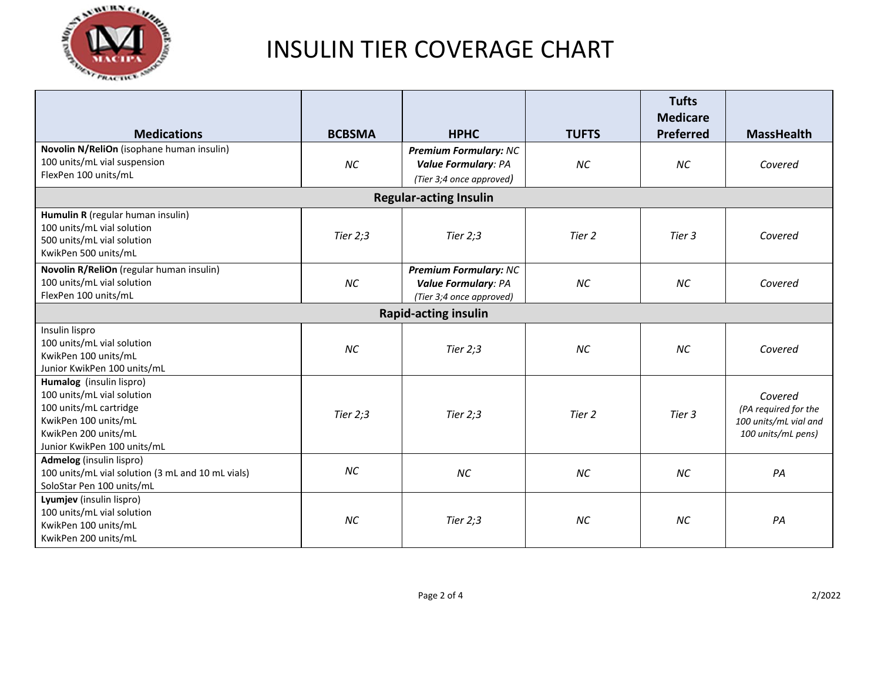

|                                                                                                                                                                 |               |                                                                                        |              | <b>Tufts</b><br><b>Medicare</b> |                                                                                |  |  |
|-----------------------------------------------------------------------------------------------------------------------------------------------------------------|---------------|----------------------------------------------------------------------------------------|--------------|---------------------------------|--------------------------------------------------------------------------------|--|--|
| <b>Medications</b>                                                                                                                                              | <b>BCBSMA</b> | <b>HPHC</b>                                                                            | <b>TUFTS</b> | Preferred                       | <b>MassHealth</b>                                                              |  |  |
| Novolin N/ReliOn (isophane human insulin)<br>100 units/mL vial suspension<br>FlexPen 100 units/mL                                                               | <b>NC</b>     | <b>Premium Formulary: NC</b><br><b>Value Formulary: PA</b><br>(Tier 3;4 once approved) | <b>NC</b>    | <b>NC</b>                       | Covered                                                                        |  |  |
| <b>Regular-acting Insulin</b>                                                                                                                                   |               |                                                                                        |              |                                 |                                                                                |  |  |
| Humulin R (regular human insulin)<br>100 units/mL vial solution<br>500 units/mL vial solution<br>KwikPen 500 units/mL                                           | Tier $2:3$    | Tier $2:3$                                                                             | Tier 2       | Tier 3                          | Covered                                                                        |  |  |
| Novolin R/ReliOn (regular human insulin)<br>100 units/mL vial solution<br>FlexPen 100 units/mL                                                                  | <b>NC</b>     | <b>Premium Formulary: NC</b><br><b>Value Formulary: PA</b><br>(Tier 3;4 once approved) | <b>NC</b>    | <b>NC</b>                       | Covered                                                                        |  |  |
| <b>Rapid-acting insulin</b>                                                                                                                                     |               |                                                                                        |              |                                 |                                                                                |  |  |
| Insulin lispro<br>100 units/mL vial solution<br>KwikPen 100 units/mL<br>Junior KwikPen 100 units/mL                                                             | <b>NC</b>     | Tier 2;3                                                                               | <b>NC</b>    | <b>NC</b>                       | Covered                                                                        |  |  |
| Humalog (insulin lispro)<br>100 units/mL vial solution<br>100 units/mL cartridge<br>KwikPen 100 units/mL<br>KwikPen 200 units/mL<br>Junior KwikPen 100 units/mL | Tier $2:3$    | Tier $2:3$                                                                             | Tier 2       | Tier 3                          | Covered<br>(PA required for the<br>100 units/mL vial and<br>100 units/mL pens) |  |  |
| Admelog (insulin lispro)<br>100 units/mL vial solution (3 mL and 10 mL vials)<br>SoloStar Pen 100 units/mL                                                      | <b>NC</b>     | NC                                                                                     | <b>NC</b>    | <b>NC</b>                       | PA                                                                             |  |  |
| Lyumjev (insulin lispro)<br>100 units/mL vial solution<br>KwikPen 100 units/mL<br>KwikPen 200 units/mL                                                          | <b>NC</b>     | Tier $2:3$                                                                             | <b>NC</b>    | <b>NC</b>                       | PA                                                                             |  |  |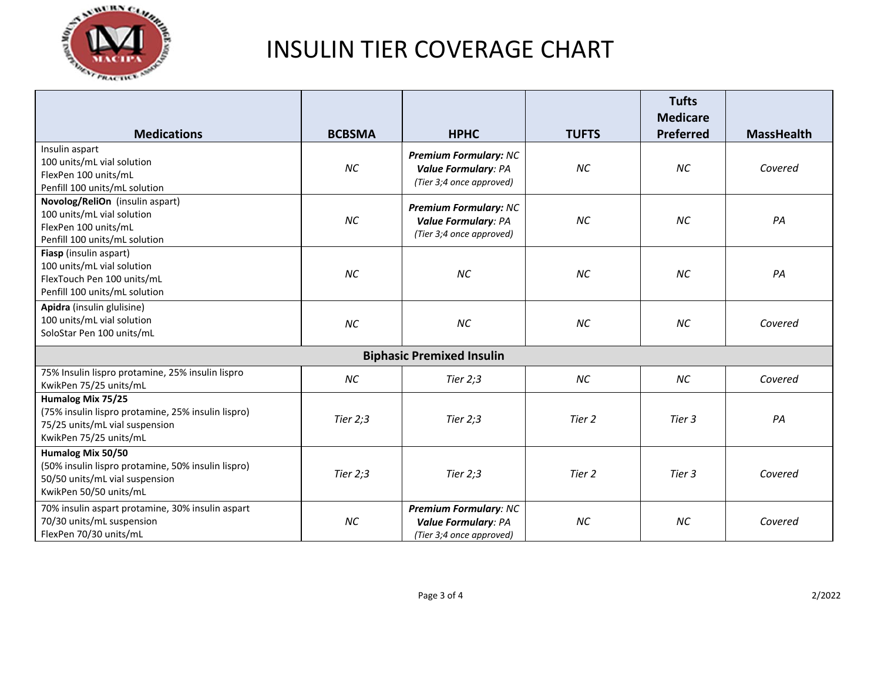

|                                                                                                                                     |               |                                                                                        |              | <b>Tufts</b><br><b>Medicare</b> |                   |  |  |
|-------------------------------------------------------------------------------------------------------------------------------------|---------------|----------------------------------------------------------------------------------------|--------------|---------------------------------|-------------------|--|--|
| <b>Medications</b>                                                                                                                  | <b>BCBSMA</b> | <b>HPHC</b>                                                                            | <b>TUFTS</b> | Preferred                       | <b>MassHealth</b> |  |  |
| Insulin aspart<br>100 units/mL vial solution<br>FlexPen 100 units/mL<br>Penfill 100 units/mL solution                               | <b>NC</b>     | <b>Premium Formulary: NC</b><br><b>Value Formulary: PA</b><br>(Tier 3;4 once approved) | <b>NC</b>    | <b>NC</b>                       | Covered           |  |  |
| Novolog/ReliOn (insulin aspart)<br>100 units/mL vial solution<br>FlexPen 100 units/mL<br>Penfill 100 units/mL solution              | <b>NC</b>     | <b>Premium Formulary: NC</b><br><b>Value Formulary: PA</b><br>(Tier 3;4 once approved) | <b>NC</b>    | <b>NC</b>                       | PA                |  |  |
| Fiasp (insulin aspart)<br>100 units/mL vial solution<br>FlexTouch Pen 100 units/mL<br>Penfill 100 units/mL solution                 | <b>NC</b>     | ΝC                                                                                     | <b>NC</b>    | <b>NC</b>                       | PA                |  |  |
| Apidra (insulin glulisine)<br>100 units/mL vial solution<br>SoloStar Pen 100 units/mL                                               | <b>NC</b>     | NC                                                                                     | <b>NC</b>    | <b>NC</b>                       | Covered           |  |  |
| <b>Biphasic Premixed Insulin</b>                                                                                                    |               |                                                                                        |              |                                 |                   |  |  |
| 75% Insulin lispro protamine, 25% insulin lispro<br>KwikPen 75/25 units/mL                                                          | NC            | Tier $2:3$                                                                             | <b>NC</b>    | NC                              | Covered           |  |  |
| Humalog Mix 75/25<br>(75% insulin lispro protamine, 25% insulin lispro)<br>75/25 units/mL vial suspension<br>KwikPen 75/25 units/mL | Tier $2:3$    | Tier $2:3$                                                                             | Tier 2       | Tier 3                          | PA                |  |  |
| Humalog Mix 50/50<br>(50% insulin lispro protamine, 50% insulin lispro)<br>50/50 units/mL vial suspension<br>KwikPen 50/50 units/mL | Tier $2:3$    | Tier $2:3$                                                                             | Tier 2       | Tier 3                          | Covered           |  |  |
| 70% insulin aspart protamine, 30% insulin aspart<br>70/30 units/mL suspension<br>FlexPen 70/30 units/mL                             | <b>NC</b>     | <b>Premium Formulary: NC</b><br><b>Value Formulary: PA</b><br>(Tier 3;4 once approved) | <b>NC</b>    | <b>NC</b>                       | Covered           |  |  |